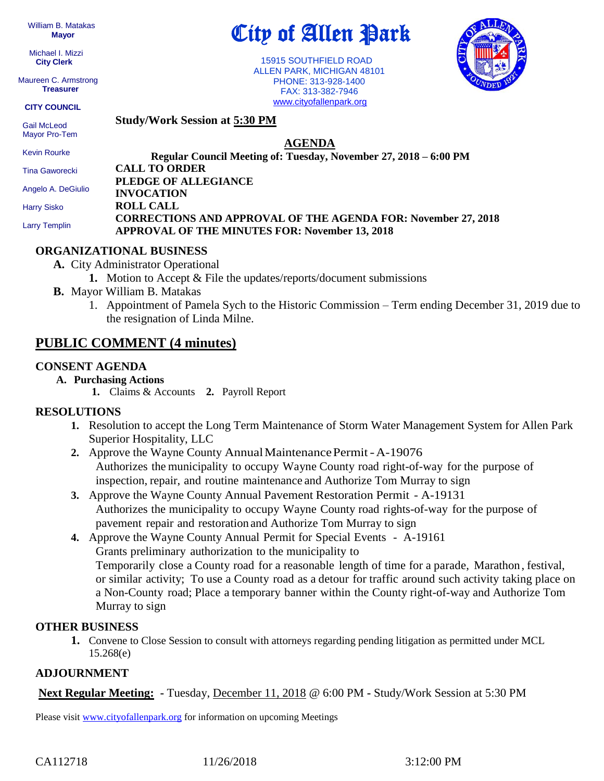William B. Matakas  **Mayor**

 Michael I. Mizzi **City Clerk**

Maureen C. Armstrong **Treasurer**

**CITY COUNCIL**

 Gail McLeod Mayor Pro-Tem 15915 SOUTHFIELD ROAD

 ALLEN PARK, MICHIGAN 48101 PHONE: 313-928-1400 FAX: 313-382-7946 [www.cityofallenpark.org](http://www.cityofallenpark.org/)

City of Allen Park



**Study/Work Session at 5:30 PM**

**AGENDA**

**Regular Council Meeting of: Tuesday, November 27, 2018 – 6:00 PM CALL TO ORDER PLEDGE OF ALLEGIANCE INVOCATION ROLL CALL CORRECTIONS AND APPROVAL OF THE AGENDA FOR: November 27, 2018 APPROVAL OF THE MINUTES FOR: November 13, 2018** Kevin Rourke Tina Gaworecki Angelo A. DeGiulio Harry Sisko Larry Templin

#### **ORGANIZATIONAL BUSINESS**

- **A.** City Administrator Operational
	- **1.** Motion to Accept & File the updates/reports/document submissions
- **B.** Mayor William B. Matakas
	- 1. Appointment of Pamela Sych to the Historic Commission Term ending December 31, 2019 due to the resignation of Linda Milne.

# **PUBLIC COMMENT (4 minutes)**

### **CONSENT AGENDA**

- **A. Purchasing Actions**
	- **1.** Claims & Accounts **2.** Payroll Report

### **RESOLUTIONS**

- **1.** Resolution to accept the Long Term Maintenance of Storm Water Management System for Allen Park Superior Hospitality, LLC
- 2. Approve the Wayne County Annual Maintenance Permit A-19076 Authorizes the municipality to occupy Wayne County road right-of-way for the purpose of inspection, repair, and routine maintenance and Authorize Tom Murray to sign
- **3.** Approve the Wayne County Annual Pavement Restoration Permit A-19131 Authorizes the municipality to occupy Wayne County road rights-of-way for the purpose of pavement repair and restoration and Authorize Tom Murray to sign
- **4.** Approve the Wayne County Annual Permit for Special Events A-19161 Grants preliminary authorization to the municipality to Temporarily close a County road for a reasonable length of time for a parade, Marathon, festival, or similar activity; To use a County road as a detour for traffic around such activity taking place on a Non-County road; Place a temporary banner within the County right-of-way and Authorize Tom Murray to sign

### **OTHER BUSINESS**

**1.** Convene to Close Session to consult with attorneys regarding pending litigation as permitted under MCL 15.268(e)

### **ADJOURNMENT**

**Next Regular Meeting: -** Tuesday, December 11, 2018 @ 6:00 PM **-** Study/Work Session at 5:30 PM

Please visit [www.cityofallenpark.org](http://www.cityofallenpark.org/) for information on upcoming Meetings